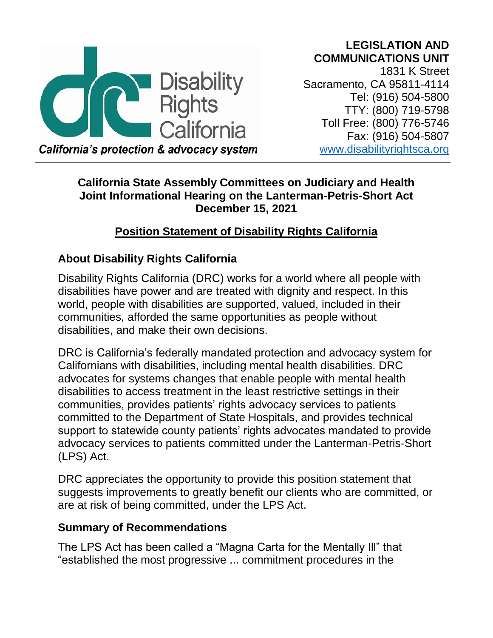# **LEGISLATION AND COMMUNICATIONS UNIT**



1831 K Street Sacramento, CA 95811-4114 Tel: (916) 504-5800 TTY: (800) 719-5798 Toll Free: (800) 776-5746 Fax: (916) 504-5807 [www.disabilityrightsca.org](http://www.disabilityrightsca.org/)

# **California State Assembly Committees on Judiciary and Health Joint Informational Hearing on the Lanterman-Petris-Short Act**

#### **December 15, 2021**

# **Position Statement of Disability Rights California**

# **About Disability Rights California**

Disability Rights California (DRC) works for a world where all people with disabilities have power and are treated with dignity and respect. In this world, people with disabilities are supported, valued, included in their communities, afforded the same opportunities as people without disabilities, and make their own decisions.

DRC is California's federally mandated protection and advocacy system for Californians with disabilities, including mental health disabilities. DRC advocates for systems changes that enable people with mental health disabilities to access treatment in the least restrictive settings in their communities, provides patients' rights advocacy services to patients committed to the Department of State Hospitals, and provides technical support to statewide county patients' rights advocates mandated to provide advocacy services to patients committed under the Lanterman-Petris-Short (LPS) Act.

DRC appreciates the opportunity to provide this position statement that suggests improvements to greatly benefit our clients who are committed, or are at risk of being committed, under the LPS Act.

# **Summary of Recommendations**

The LPS Act has been called a "Magna Carta for the Mentally Ill" that "established the most progressive ... commitment procedures in the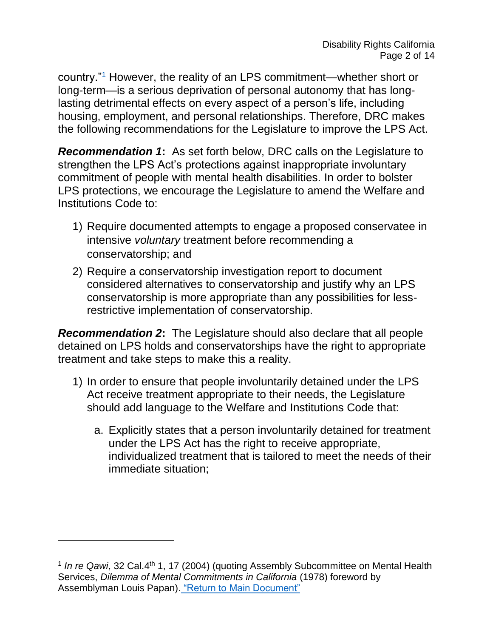<span id="page-1-1"></span>country."[1](#page-1-0) However, the reality of an LPS commitment—whether short or long-term—is a serious deprivation of personal autonomy that has longlasting detrimental effects on every aspect of a person's life, including housing, employment, and personal relationships. Therefore, DRC makes the following recommendations for the Legislature to improve the LPS Act.

*Recommendation 1***:** As set forth below, DRC calls on the Legislature to strengthen the LPS Act's protections against inappropriate involuntary commitment of people with mental health disabilities. In order to bolster LPS protections, we encourage the Legislature to amend the Welfare and Institutions Code to:

- 1) Require documented attempts to engage a proposed conservatee in intensive *voluntary* treatment before recommending a conservatorship; and
- 2) Require a conservatorship investigation report to document considered alternatives to conservatorship and justify why an LPS conservatorship is more appropriate than any possibilities for lessrestrictive implementation of conservatorship.

*Recommendation 2***:** The Legislature should also declare that all people detained on LPS holds and conservatorships have the right to appropriate treatment and take steps to make this a reality.

- 1) In order to ensure that people involuntarily detained under the LPS Act receive treatment appropriate to their needs, the Legislature should add language to the Welfare and Institutions Code that:
	- a. Explicitly states that a person involuntarily detained for treatment under the LPS Act has the right to receive appropriate, individualized treatment that is tailored to meet the needs of their immediate situation;

<span id="page-1-0"></span><sup>&</sup>lt;sup>1</sup> In re Qawi, 32 Cal.4<sup>th</sup> 1, 17 (2004) (quoting Assembly Subcommittee on Mental Health Services, *Dilemma of Mental Commitments in California* (1978) foreword by Assemblyman Louis Papan). ["Return to Main Document"](#page-1-1)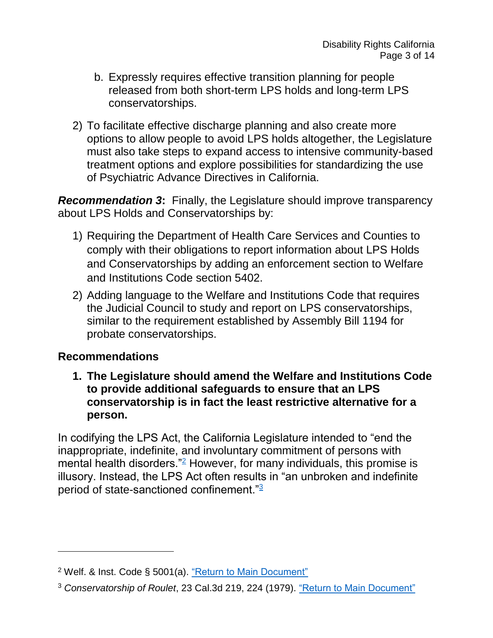- b. Expressly requires effective transition planning for people released from both short-term LPS holds and long-term LPS conservatorships.
- 2) To facilitate effective discharge planning and also create more options to allow people to avoid LPS holds altogether, the Legislature must also take steps to expand access to intensive community-based treatment options and explore possibilities for standardizing the use of Psychiatric Advance Directives in California.

**Recommendation 3:** Finally, the Legislature should improve transparency about LPS Holds and Conservatorships by:

- 1) Requiring the Department of Health Care Services and Counties to comply with their obligations to report information about LPS Holds and Conservatorships by adding an enforcement section to Welfare and Institutions Code section 5402.
- 2) Adding language to the Welfare and Institutions Code that requires the Judicial Council to study and report on LPS conservatorships, similar to the requirement established by Assembly Bill 1194 for probate conservatorships.

## **Recommendations**

l

**1. The Legislature should amend the Welfare and Institutions Code to provide additional safeguards to ensure that an LPS conservatorship is in fact the least restrictive alternative for a person.** 

<span id="page-2-2"></span>In codifying the LPS Act, the California Legislature intended to "end the inappropriate, indefinite, and involuntary commitment of persons with mental health disorders."<sup>[2](#page-2-0)</sup> However, for many individuals, this promise is illusory. Instead, the LPS Act often results in "an unbroken and indefinite period of state-sanctioned confinement."[3](#page-2-1)

<span id="page-2-0"></span><sup>2</sup> Welf. & Inst. Code § 5001(a). ["Return to Main Document"](#page-2-2)

<span id="page-2-1"></span><sup>3</sup> *Conservatorship of Roulet*, 23 Cal.3d 219, 224 (1979). ["Return to Main Document"](#page-2-1)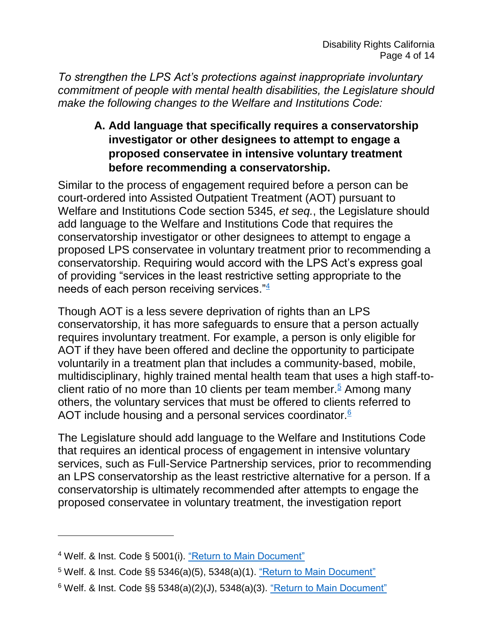*To strengthen the LPS Act's protections against inappropriate involuntary commitment of people with mental health disabilities, the Legislature should make the following changes to the Welfare and Institutions Code:* 

# **A. Add language that specifically requires a conservatorship investigator or other designees to attempt to engage a proposed conservatee in intensive voluntary treatment before recommending a conservatorship.**

Similar to the process of engagement required before a person can be court-ordered into Assisted Outpatient Treatment (AOT) pursuant to Welfare and Institutions Code section 5345, *et seq.*, the Legislature should add language to the Welfare and Institutions Code that requires the conservatorship investigator or other designees to attempt to engage a proposed LPS conservatee in voluntary treatment prior to recommending a conservatorship. Requiring would accord with the LPS Act's express goal of providing "services in the least restrictive setting appropriate to the needs of each person receiving services."[4](#page-3-0)

<span id="page-3-3"></span>Though AOT is a less severe deprivation of rights than an LPS conservatorship, it has more safeguards to ensure that a person actually requires involuntary treatment. For example, a person is only eligible for AOT if they have been offered and decline the opportunity to participate voluntarily in a treatment plan that includes a community-based, mobile, multidisciplinary, highly trained mental health team that uses a high staff-to-client ratio of no more than 10 clients per team member.<sup>[5](#page-3-1)</sup> Among many others, the voluntary services that must be offered to clients referred to AOT include housing and a personal services coordinator.<sup>[6](#page-3-2)</sup>

<span id="page-3-5"></span><span id="page-3-4"></span>The Legislature should add language to the Welfare and Institutions Code that requires an identical process of engagement in intensive voluntary services, such as Full-Service Partnership services, prior to recommending an LPS conservatorship as the least restrictive alternative for a person. If a conservatorship is ultimately recommended after attempts to engage the proposed conservatee in voluntary treatment, the investigation report

- <span id="page-3-1"></span><sup>5</sup> Welf. & Inst. Code §§ 5346(a)(5), 5348(a)(1). ["Return to Main Document"](#page-3-4)
- <span id="page-3-2"></span> $6$  Welf. & Inst. Code §§ 5348(a)(2)(J), 5348(a)(3). ["Return to Main Document"](#page-3-5)

<span id="page-3-0"></span><sup>4</sup> Welf. & Inst. Code § 5001(i). ["Return to Main Document"](#page-3-3)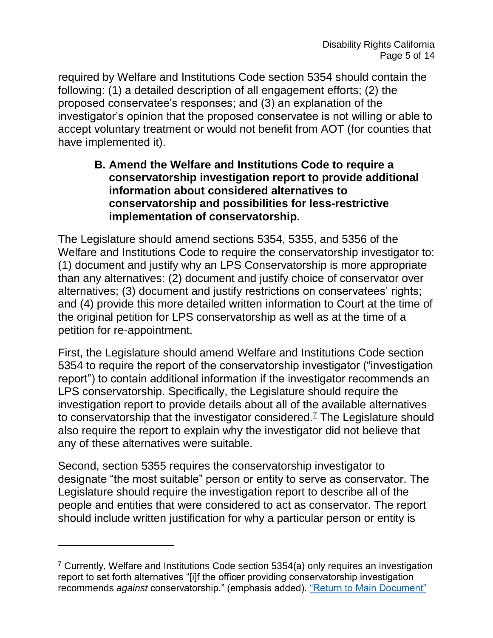required by Welfare and Institutions Code section 5354 should contain the following: (1) a detailed description of all engagement efforts; (2) the proposed conservatee's responses; and (3) an explanation of the investigator's opinion that the proposed conservatee is not willing or able to accept voluntary treatment or would not benefit from AOT (for counties that have implemented it).

#### **B. Amend the Welfare and Institutions Code to require a conservatorship investigation report to provide additional information about considered alternatives to conservatorship and possibilities for less-restrictive implementation of conservatorship.**

The Legislature should amend sections 5354, 5355, and 5356 of the Welfare and Institutions Code to require the conservatorship investigator to: (1) document and justify why an LPS Conservatorship is more appropriate than any alternatives: (2) document and justify choice of conservator over alternatives; (3) document and justify restrictions on conservatees' rights; and (4) provide this more detailed written information to Court at the time of the original petition for LPS conservatorship as well as at the time of a petition for re-appointment.

First, the Legislature should amend Welfare and Institutions Code section 5354 to require the report of the conservatorship investigator ("investigation report") to contain additional information if the investigator recommends an LPS conservatorship. Specifically, the Legislature should require the investigation report to provide details about all of the available alternatives to conservatorship that the investigator considered.<sup> $7$ </sup> The Legislature should also require the report to explain why the investigator did not believe that any of these alternatives were suitable.

<span id="page-4-1"></span>Second, section 5355 requires the conservatorship investigator to designate "the most suitable" person or entity to serve as conservator. The Legislature should require the investigation report to describe all of the people and entities that were considered to act as conservator. The report should include written justification for why a particular person or entity is

<span id="page-4-0"></span><sup>7</sup> Currently, Welfare and Institutions Code section 5354(a) only requires an investigation report to set forth alternatives "[i]f the officer providing conservatorship investigation recommends *against* conservatorship." (emphasis added). ["Return to Main Document"](#page-4-1)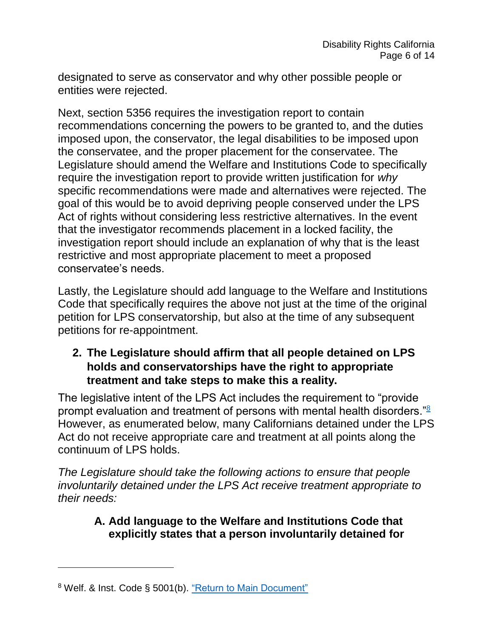designated to serve as conservator and why other possible people or entities were rejected.

Next, section 5356 requires the investigation report to contain recommendations concerning the powers to be granted to, and the duties imposed upon, the conservator, the legal disabilities to be imposed upon the conservatee, and the proper placement for the conservatee. The Legislature should amend the Welfare and Institutions Code to specifically require the investigation report to provide written justification for *why* specific recommendations were made and alternatives were rejected. The goal of this would be to avoid depriving people conserved under the LPS Act of rights without considering less restrictive alternatives. In the event that the investigator recommends placement in a locked facility, the investigation report should include an explanation of why that is the least restrictive and most appropriate placement to meet a proposed conservatee's needs.

Lastly, the Legislature should add language to the Welfare and Institutions Code that specifically requires the above not just at the time of the original petition for LPS conservatorship, but also at the time of any subsequent petitions for re-appointment.

## **2. The Legislature should affirm that all people detained on LPS holds and conservatorships have the right to appropriate treatment and take steps to make this a reality.**

The legislative intent of the LPS Act includes the requirement to "provide prompt evaluation and treatment of persons with mental health disorders."<sup>[8](#page-5-0)</sup> However, as enumerated below, many Californians detained under the LPS Act do not receive appropriate care and treatment at all points along the continuum of LPS holds.

*The Legislature should take the following actions to ensure that people involuntarily detained under the LPS Act receive treatment appropriate to their needs:*

## <span id="page-5-1"></span>**A. Add language to the Welfare and Institutions Code that explicitly states that a person involuntarily detained for**

<span id="page-5-0"></span><sup>&</sup>lt;sup>8</sup> Welf. & Inst. Code § 5001(b). ["Return to Main Document"](#page-5-1)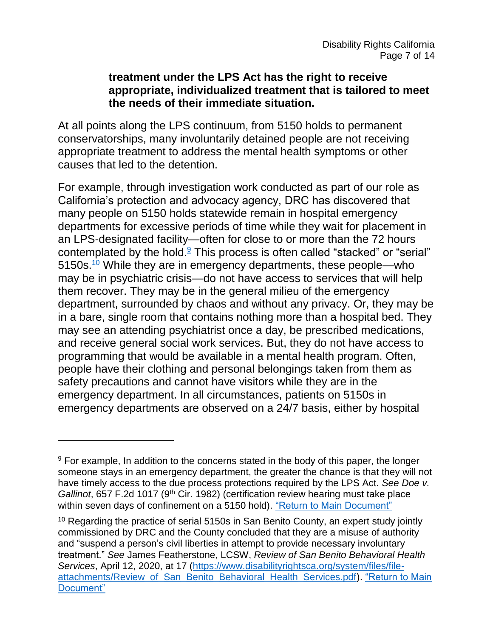#### **treatment under the LPS Act has the right to receive appropriate, individualized treatment that is tailored to meet the needs of their immediate situation.**

At all points along the LPS continuum, from 5150 holds to permanent conservatorships, many involuntarily detained people are not receiving appropriate treatment to address the mental health symptoms or other causes that led to the detention.

<span id="page-6-3"></span><span id="page-6-2"></span>For example, through investigation work conducted as part of our role as California's protection and advocacy agency, DRC has discovered that many people on 5150 holds statewide remain in hospital emergency departments for excessive periods of time while they wait for placement in an LPS-designated facility—often for close to or more than the 72 hours contemplated by the hold. $9$  This process is often called "stacked" or "serial" 5150s.<sup>[10](#page-6-1)</sup> While they are in emergency departments, these people—who may be in psychiatric crisis—do not have access to services that will help them recover. They may be in the general milieu of the emergency department, surrounded by chaos and without any privacy. Or, they may be in a bare, single room that contains nothing more than a hospital bed. They may see an attending psychiatrist once a day, be prescribed medications, and receive general social work services. But, they do not have access to programming that would be available in a mental health program. Often, people have their clothing and personal belongings taken from them as safety precautions and cannot have visitors while they are in the emergency department. In all circumstances, patients on 5150s in emergency departments are observed on a 24/7 basis, either by hospital

<span id="page-6-0"></span> $9$  For example, In addition to the concerns stated in the body of this paper, the longer someone stays in an emergency department, the greater the chance is that they will not have timely access to the due process protections required by the LPS Act. *See Doe v. Gallinot*, 657 F.2d 1017 (9<sup>th</sup> Cir. 1982) (certification review hearing must take place within seven days of confinement on a 5150 hold). ["Return to Main Document"](#page-6-2)

<span id="page-6-1"></span><sup>&</sup>lt;sup>10</sup> Regarding the practice of serial 5150s in San Benito County, an expert study jointly commissioned by DRC and the County concluded that they are a misuse of authority and "suspend a person's civil liberties in attempt to provide necessary involuntary treatment." *See* James Featherstone, LCSW, *Review of San Benito Behavioral Health Services*, April 12, 2020, at 17 [\(https://www.disabilityrightsca.org/system/files/file](https://www.disabilityrightsca.org/system/files/file-attachments/Review_of_San_Benito_Behavioral_Health_Services.pdf)attachments/Review of San Benito Behavioral Health Services.pdf). "Return to Main [Document"](#page-6-3)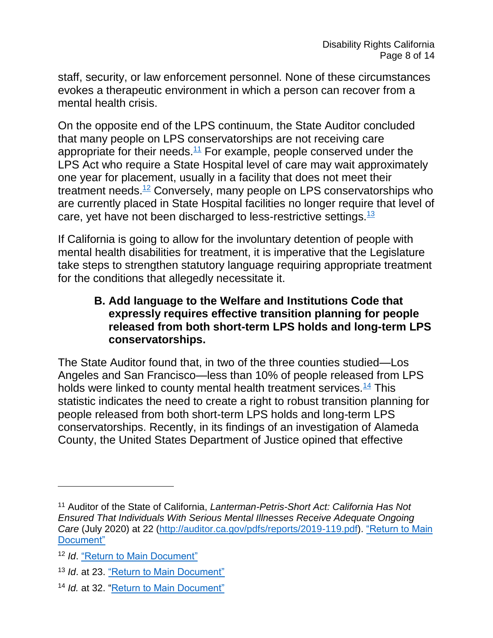staff, security, or law enforcement personnel. None of these circumstances evokes a therapeutic environment in which a person can recover from a mental health crisis.

<span id="page-7-4"></span>On the opposite end of the LPS continuum, the State Auditor concluded that many people on LPS conservatorships are not receiving care appropriate for their needs.<sup>[11](#page-7-0)</sup> For example, people conserved under the LPS Act who require a State Hospital level of care may wait approximately one year for placement, usually in a facility that does not meet their treatment needs.<sup>[12](#page-7-1)</sup> Conversely, many people on LPS conservatorships who are currently placed in State Hospital facilities no longer require that level of care, yet have not been discharged to less-restrictive settings.<sup>[13](#page-7-2)</sup>

<span id="page-7-5"></span>If California is going to allow for the involuntary detention of people with mental health disabilities for treatment, it is imperative that the Legislature take steps to strengthen statutory language requiring appropriate treatment for the conditions that allegedly necessitate it.

#### <span id="page-7-7"></span><span id="page-7-6"></span>**B. Add language to the Welfare and Institutions Code that expressly requires effective transition planning for people released from both short-term LPS holds and long-term LPS conservatorships.**

The State Auditor found that, in two of the three counties studied—Los Angeles and San Francisco—less than 10% of people released from LPS holds were linked to county mental health treatment services.  $\frac{14}{1}$  $\frac{14}{1}$  $\frac{14}{1}$  This statistic indicates the need to create a right to robust transition planning for people released from both short-term LPS holds and long-term LPS conservatorships. Recently, in its findings of an investigation of Alameda County, the United States Department of Justice opined that effective

<span id="page-7-0"></span><sup>11</sup> Auditor of the State of California, *Lanterman-Petris-Short Act: California Has Not Ensured That Individuals With Serious Mental Illnesses Receive Adequate Ongoing Care* (July 2020) at 22 [\(http://auditor.ca.gov/pdfs/reports/2019-119.pdf\)](http://auditor.ca.gov/pdfs/reports/2019-119.pdf). ["Return to Main](#page-7-4)  [Document"](#page-7-4)

<span id="page-7-1"></span><sup>12</sup> *Id*. ["Return to Main Document"](#page-7-5)

<span id="page-7-2"></span><sup>13</sup> *Id*. at 23. ["Return to Main Document"](#page-7-6)

<span id="page-7-3"></span><sup>14</sup> *Id.* at 32. ["Return to Main Document"](#page-7-7)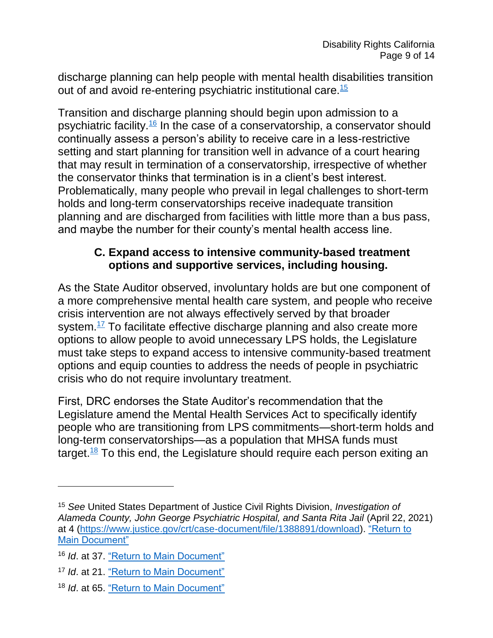<span id="page-8-4"></span>discharge planning can help people with mental health disabilities transition out of and avoid re-entering psychiatric institutional care.<sup>[15](#page-8-0)</sup>

<span id="page-8-5"></span>Transition and discharge planning should begin upon admission to a psychiatric facility.<sup>[16](#page-8-1)</sup> In the case of a conservatorship, a conservator should continually assess a person's ability to receive care in a less-restrictive setting and start planning for transition well in advance of a court hearing that may result in termination of a conservatorship, irrespective of whether the conservator thinks that termination is in a client's best interest. Problematically, many people who prevail in legal challenges to short-term holds and long-term conservatorships receive inadequate transition planning and are discharged from facilities with little more than a bus pass, and maybe the number for their county's mental health access line.

#### **C. Expand access to intensive community-based treatment options and supportive services, including housing.**

<span id="page-8-6"></span>As the State Auditor observed, involuntary holds are but one component of a more comprehensive mental health care system, and people who receive crisis intervention are not always effectively served by that broader system. $17$  To facilitate effective discharge planning and also create more options to allow people to avoid unnecessary LPS holds, the Legislature must take steps to expand access to intensive community-based treatment options and equip counties to address the needs of people in psychiatric crisis who do not require involuntary treatment.

<span id="page-8-7"></span>First, DRC endorses the State Auditor's recommendation that the Legislature amend the Mental Health Services Act to specifically identify people who are transitioning from LPS commitments—short-term holds and long-term conservatorships—as a population that MHSA funds must target.<sup>[18](#page-8-3)</sup> To this end, the Legislature should require each person exiting an

<span id="page-8-0"></span><sup>15</sup> *See* United States Department of Justice Civil Rights Division, *Investigation of Alameda County, John George Psychiatric Hospital, and Santa Rita Jail* (April 22, 2021) at 4 [\(https://www.justice.gov/crt/case-document/file/1388891/download\)](https://www.justice.gov/crt/case-document/file/1388891/download). ["Return to](#page-8-4)  [Main Document"](#page-8-4)

<span id="page-8-1"></span><sup>16</sup> *Id*. at 37. ["Return to Main Document"](#page-8-5)

<span id="page-8-2"></span><sup>17</sup> *Id*. at 21. ["Return to Main Document"](#page-8-6)

<span id="page-8-3"></span><sup>18</sup> *Id*. at 65. ["Return to Main Document"](#page-8-7)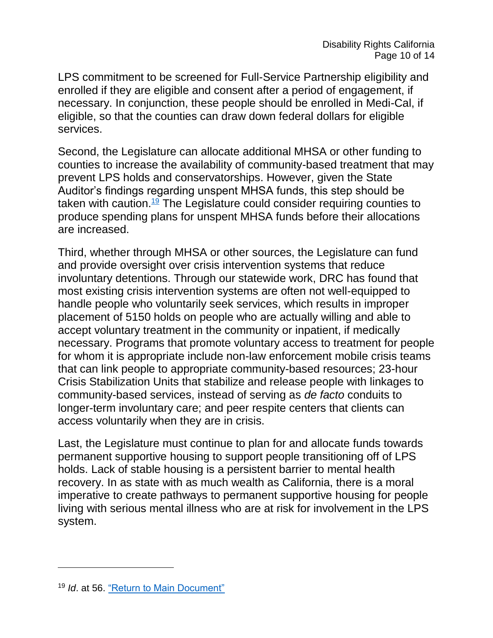LPS commitment to be screened for Full-Service Partnership eligibility and enrolled if they are eligible and consent after a period of engagement, if necessary. In conjunction, these people should be enrolled in Medi-Cal, if eligible, so that the counties can draw down federal dollars for eligible services.

Second, the Legislature can allocate additional MHSA or other funding to counties to increase the availability of community-based treatment that may prevent LPS holds and conservatorships. However, given the State Auditor's findings regarding unspent MHSA funds, this step should be taken with caution.<sup>[19](#page-9-0)</sup> The Legislature could consider requiring counties to produce spending plans for unspent MHSA funds before their allocations are increased.

<span id="page-9-1"></span>Third, whether through MHSA or other sources, the Legislature can fund and provide oversight over crisis intervention systems that reduce involuntary detentions. Through our statewide work, DRC has found that most existing crisis intervention systems are often not well-equipped to handle people who voluntarily seek services, which results in improper placement of 5150 holds on people who are actually willing and able to accept voluntary treatment in the community or inpatient, if medically necessary. Programs that promote voluntary access to treatment for people for whom it is appropriate include non-law enforcement mobile crisis teams that can link people to appropriate community-based resources; 23-hour Crisis Stabilization Units that stabilize and release people with linkages to community-based services, instead of serving as *de facto* conduits to longer-term involuntary care; and peer respite centers that clients can access voluntarily when they are in crisis.

Last, the Legislature must continue to plan for and allocate funds towards permanent supportive housing to support people transitioning off of LPS holds. Lack of stable housing is a persistent barrier to mental health recovery. In as state with as much wealth as California, there is a moral imperative to create pathways to permanent supportive housing for people living with serious mental illness who are at risk for involvement in the LPS system.

<span id="page-9-0"></span><sup>19</sup> *Id*. at 56. ["Return to Main Document"](#page-9-1)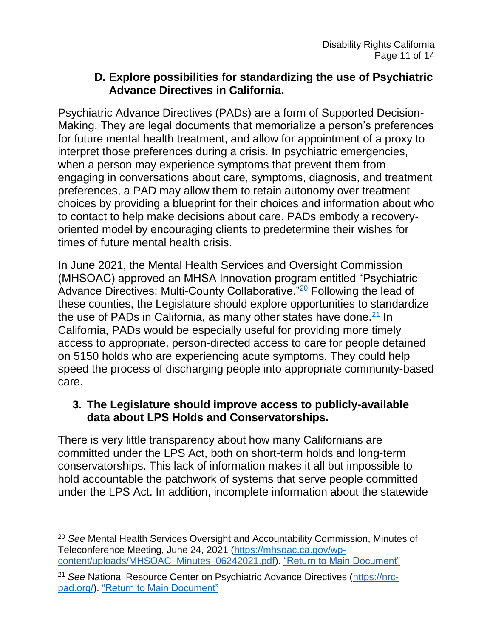## **D. Explore possibilities for standardizing the use of Psychiatric Advance Directives in California.**

Psychiatric Advance Directives (PADs) are a form of Supported Decision-Making. They are legal documents that memorialize a person's preferences for future mental health treatment, and allow for appointment of a proxy to interpret those preferences during a crisis. In psychiatric emergencies, when a person may experience symptoms that prevent them from engaging in conversations about care, symptoms, diagnosis, and treatment preferences, a PAD may allow them to retain autonomy over treatment choices by providing a blueprint for their choices and information about who to contact to help make decisions about care. PADs embody a recoveryoriented model by encouraging clients to predetermine their wishes for times of future mental health crisis.

<span id="page-10-2"></span>In June 2021, the Mental Health Services and Oversight Commission (MHSOAC) approved an MHSA Innovation program entitled "Psychiatric Advance Directives: Multi-County Collaborative."<sup>[20](#page-10-0)</sup> Following the lead of these counties, the Legislature should explore opportunities to standardize the use of PADs in California, as many other states have done. $21$  In California, PADs would be especially useful for providing more timely access to appropriate, person-directed access to care for people detained on 5150 holds who are experiencing acute symptoms. They could help speed the process of discharging people into appropriate community-based care.

## <span id="page-10-3"></span>**3. The Legislature should improve access to publicly-available data about LPS Holds and Conservatorships.**

There is very little transparency about how many Californians are committed under the LPS Act, both on short-term holds and long-term conservatorships. This lack of information makes it all but impossible to hold accountable the patchwork of systems that serve people committed under the LPS Act. In addition, incomplete information about the statewide

 $\overline{a}$ 

<span id="page-10-0"></span><sup>20</sup> *See* Mental Health Services Oversight and Accountability Commission, Minutes of Teleconference Meeting, June 24, 2021 [\(https://mhsoac.ca.gov/wp](https://mhsoac.ca.gov/wp-content/uploads/MHSOAC_Minutes_06242021.pdf)[content/uploads/MHSOAC\\_Minutes\\_06242021.pdf\)](https://mhsoac.ca.gov/wp-content/uploads/MHSOAC_Minutes_06242021.pdf). ["Return to Main Document"](#page-10-2)

<span id="page-10-1"></span><sup>21</sup> *See* National Resource Center on Psychiatric Advance Directives [\(https://nrc](https://nrc-pad.org/)[pad.org/\)](https://nrc-pad.org/). ["Return to Main Document"](#page-10-3)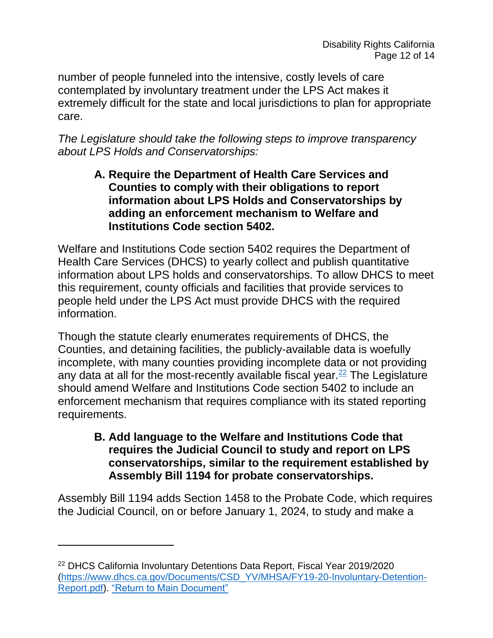number of people funneled into the intensive, costly levels of care contemplated by involuntary treatment under the LPS Act makes it extremely difficult for the state and local jurisdictions to plan for appropriate care.

*The Legislature should take the following steps to improve transparency about LPS Holds and Conservatorships:* 

**A. Require the Department of Health Care Services and Counties to comply with their obligations to report information about LPS Holds and Conservatorships by adding an enforcement mechanism to Welfare and Institutions Code section 5402.**

Welfare and Institutions Code section 5402 requires the Department of Health Care Services (DHCS) to yearly collect and publish quantitative information about LPS holds and conservatorships. To allow DHCS to meet this requirement, county officials and facilities that provide services to people held under the LPS Act must provide DHCS with the required information.

Though the statute clearly enumerates requirements of DHCS, the Counties, and detaining facilities, the publicly-available data is woefully incomplete, with many counties providing incomplete data or not providing any data at all for the most-recently available fiscal year. $22$  The Legislature should amend Welfare and Institutions Code section 5402 to include an enforcement mechanism that requires compliance with its stated reporting requirements.

<span id="page-11-1"></span>**B. Add language to the Welfare and Institutions Code that requires the Judicial Council to study and report on LPS conservatorships, similar to the requirement established by Assembly Bill 1194 for probate conservatorships.**

Assembly Bill 1194 adds Section 1458 to the Probate Code, which requires the Judicial Council, on or before January 1, 2024, to study and make a

<span id="page-11-0"></span><sup>22</sup> DHCS California Involuntary Detentions Data Report, Fiscal Year 2019/2020 [\(https://www.dhcs.ca.gov/Documents/CSD\\_YV/MHSA/FY19-20-Involuntary-Detention-](https://www.dhcs.ca.gov/Documents/CSD_YV/MHSA/FY19-20-Involuntary-Detention-Report.pdf)[Report.pdf\)](https://www.dhcs.ca.gov/Documents/CSD_YV/MHSA/FY19-20-Involuntary-Detention-Report.pdf). ["Return to Main Document"](#page-11-1)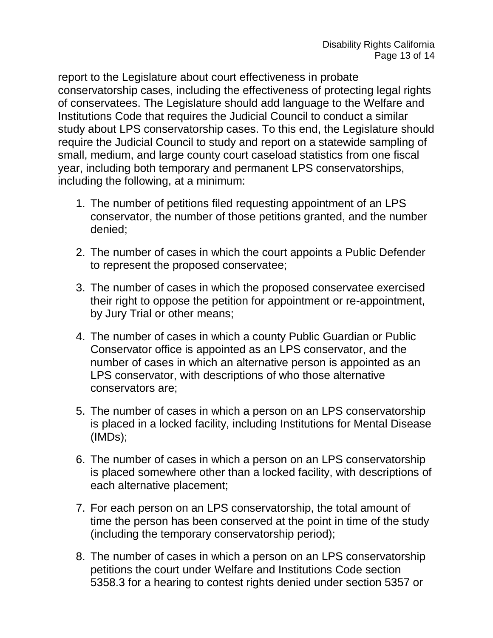report to the Legislature about court effectiveness in probate conservatorship cases, including the effectiveness of protecting legal rights of conservatees. The Legislature should add language to the Welfare and Institutions Code that requires the Judicial Council to conduct a similar study about LPS conservatorship cases. To this end, the Legislature should require the Judicial Council to study and report on a statewide sampling of small, medium, and large county court caseload statistics from one fiscal year, including both temporary and permanent LPS conservatorships, including the following, at a minimum:

- 1. The number of petitions filed requesting appointment of an LPS conservator, the number of those petitions granted, and the number denied;
- 2. The number of cases in which the court appoints a Public Defender to represent the proposed conservatee;
- 3. The number of cases in which the proposed conservatee exercised their right to oppose the petition for appointment or re-appointment, by Jury Trial or other means;
- 4. The number of cases in which a county Public Guardian or Public Conservator office is appointed as an LPS conservator, and the number of cases in which an alternative person is appointed as an LPS conservator, with descriptions of who those alternative conservators are;
- 5. The number of cases in which a person on an LPS conservatorship is placed in a locked facility, including Institutions for Mental Disease (IMDs);
- 6. The number of cases in which a person on an LPS conservatorship is placed somewhere other than a locked facility, with descriptions of each alternative placement;
- 7. For each person on an LPS conservatorship, the total amount of time the person has been conserved at the point in time of the study (including the temporary conservatorship period);
- 8. The number of cases in which a person on an LPS conservatorship petitions the court under Welfare and Institutions Code section 5358.3 for a hearing to contest rights denied under section 5357 or